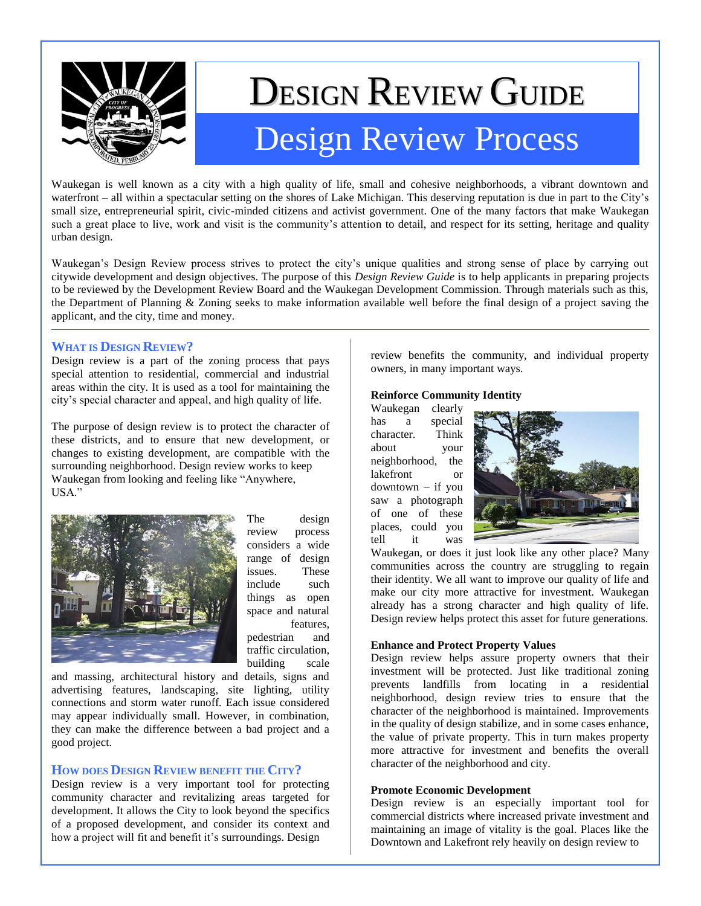

# DESIGN REVIEW GUIDE Design Review Process

Waukegan is well known as a city with a high quality of life, small and cohesive neighborhoods, a vibrant downtown and waterfront – all within a spectacular setting on the shores of Lake Michigan. This deserving reputation is due in part to the City's small size, entrepreneurial spirit, civic-minded citizens and activist government. One of the many factors that make Waukegan such a great place to live, work and visit is the community's attention to detail, and respect for its setting, heritage and quality urban design.

Waukegan's Design Review process strives to protect the city's unique qualities and strong sense of place by carrying out citywide development and design objectives. The purpose of this *Design Review Guide* is to help applicants in preparing projects to be reviewed by the Development Review Board and the Waukegan Development Commission. Through materials such as this, the Department of Planning & Zoning seeks to make information available well before the final design of a project saving the applicant, and the city, time and money.

## **WHAT IS DESIGN REVIEW?**

Design review is a part of the zoning process that pays special attention to residential, commercial and industrial areas within the city. It is used as a tool for maintaining the city's special character and appeal, and high quality of life.

The purpose of design review is to protect the character of these districts, and to ensure that new development, or changes to existing development, are compatible with the surrounding neighborhood. Design review works to keep Waukegan from looking and feeling like "Anywhere, USA."



The design review process considers a wide range of design issues. These include such things as open space and natural features, pedestrian and traffic circulation, building scale

and massing, architectural history and details, signs and advertising features, landscaping, site lighting, utility connections and storm water runoff. Each issue considered may appear individually small. However, in combination, they can make the difference between a bad project and a good project.

## **HOW DOES DESIGN REVIEW BENEFIT THE CITY?**

Design review is a very important tool for protecting community character and revitalizing areas targeted for development. It allows the City to look beyond the specifics of a proposed development, and consider its context and how a project will fit and benefit it's surroundings. Design

review benefits the community, and individual property owners, in many important ways.

## **Reinforce Community Identity**

Waukegan clearly has a special character. Think about your neighborhood, the lakefront or downtown – if you saw a photograph of one of these places, could you tell it was



Waukegan, or does it just look like any other place? Many communities across the country are struggling to regain their identity. We all want to improve our quality of life and make our city more attractive for investment. Waukegan already has a strong character and high quality of life. Design review helps protect this asset for future generations.

#### **Enhance and Protect Property Values**

Design review helps assure property owners that their investment will be protected. Just like traditional zoning prevents landfills from locating in a residential neighborhood, design review tries to ensure that the character of the neighborhood is maintained. Improvements in the quality of design stabilize, and in some cases enhance, the value of private property. This in turn makes property more attractive for investment and benefits the overall character of the neighborhood and city.

#### **Promote Economic Development**

Design review is an especially important tool for commercial districts where increased private investment and maintaining an image of vitality is the goal. Places like the Downtown and Lakefront rely heavily on design review to